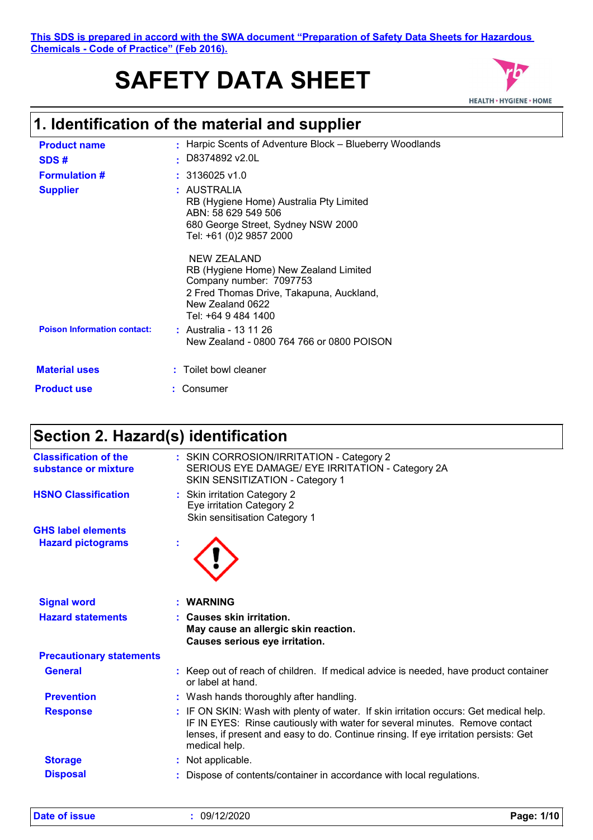#### **This SDS is prepared in accord with the SWA document "Preparation of Safety Data Sheets for Hazardous Chemicals - Code of Practice" (Feb 2016).**

# **SAFETY DATA SHEET**



# **1. Identification of the material and supplier**

| <b>Product name</b><br>SDS#        | : Harpic Scents of Adventure Block – Blueberry Woodlands<br>D8374892 v2.0L                                                                                                    |
|------------------------------------|-------------------------------------------------------------------------------------------------------------------------------------------------------------------------------|
| <b>Formulation #</b>               | $: 3136025$ v1.0                                                                                                                                                              |
| <b>Supplier</b>                    | : AUSTRALIA<br>RB (Hygiene Home) Australia Pty Limited<br>ABN: 58 629 549 506<br>680 George Street, Sydney NSW 2000<br>Tel: +61 (0)2 9857 2000                                |
|                                    | <b>NEW ZEALAND</b><br>RB (Hygiene Home) New Zealand Limited<br>Company number: 7097753<br>2 Fred Thomas Drive, Takapuna, Auckland,<br>New Zealand 0622<br>Tel: +64 9 484 1400 |
| <b>Poison Information contact:</b> | : Australia - 13 11 26<br>New Zealand - 0800 764 766 or 0800 POISON                                                                                                           |
| <b>Material uses</b>               | : Toilet bowl cleaner                                                                                                                                                         |
| <b>Product use</b>                 | : Consumer                                                                                                                                                                    |

## **Section 2. Hazard(s) identification**

| <b>Classification of the</b><br>substance or mixture | : SKIN CORROSION/IRRITATION - Category 2<br>SERIOUS EYE DAMAGE/ EYE IRRITATION - Category 2A<br>SKIN SENSITIZATION - Category 1                                                                                                                                               |
|------------------------------------------------------|-------------------------------------------------------------------------------------------------------------------------------------------------------------------------------------------------------------------------------------------------------------------------------|
| <b>HSNO Classification</b>                           | : Skin irritation Category 2<br>Eye irritation Category 2<br>Skin sensitisation Category 1                                                                                                                                                                                    |
| <b>GHS label elements</b>                            |                                                                                                                                                                                                                                                                               |
| <b>Hazard pictograms</b>                             |                                                                                                                                                                                                                                                                               |
| <b>Signal word</b>                                   | : WARNING                                                                                                                                                                                                                                                                     |
| <b>Hazard statements</b>                             | : Causes skin irritation.<br>May cause an allergic skin reaction.<br>Causes serious eye irritation.                                                                                                                                                                           |
| <b>Precautionary statements</b>                      |                                                                                                                                                                                                                                                                               |
| <b>General</b>                                       | : Keep out of reach of children. If medical advice is needed, have product container<br>or label at hand.                                                                                                                                                                     |
| <b>Prevention</b>                                    | : Wash hands thoroughly after handling.                                                                                                                                                                                                                                       |
| <b>Response</b>                                      | : IF ON SKIN: Wash with plenty of water. If skin irritation occurs: Get medical help.<br>IF IN EYES: Rinse cautiously with water for several minutes. Remove contact<br>lenses, if present and easy to do. Continue rinsing. If eye irritation persists: Get<br>medical help. |
| <b>Storage</b>                                       | : Not applicable.                                                                                                                                                                                                                                                             |
| <b>Disposal</b>                                      | Dispose of contents/container in accordance with local regulations.                                                                                                                                                                                                           |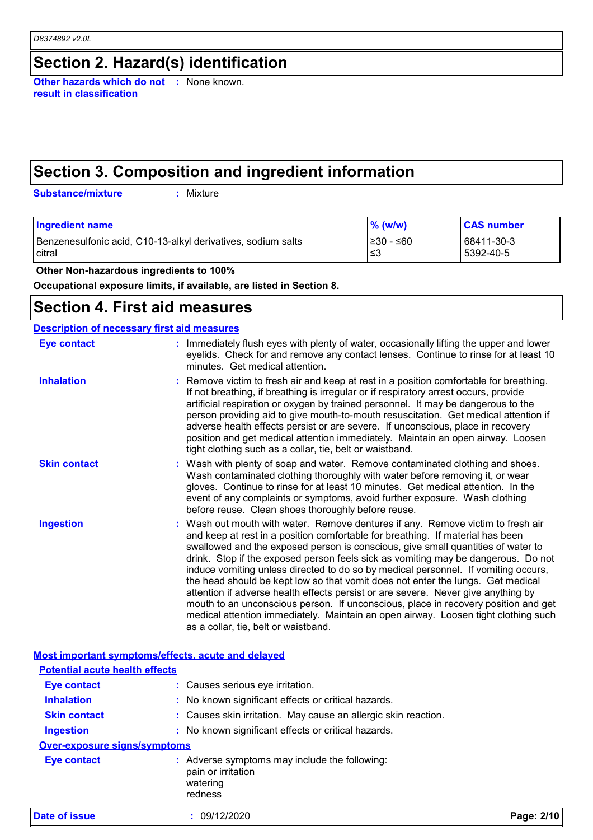### **Section 2. Hazard(s) identification**

**Other hazards which do not :** None known. **result in classification**

## **Section 3. Composition and ingredient information**

**Substance/mixture :**

: Mixture

| <b>Ingredient name</b>                                       | $%$ (w/w)  | <b>CAS number</b> |
|--------------------------------------------------------------|------------|-------------------|
| Benzenesulfonic acid, C10-13-alkyl derivatives, sodium salts | I≥30 - ≤60 | 68411-30-3        |
| <b>citral</b>                                                | ו≥ ≥       | 5392-40-5         |

 **Other Non-hazardous ingredients to 100%**

**Occupational exposure limits, if available, are listed in Section 8.**

### **Section 4. First aid measures**

| <b>Description of necessary first aid measures</b> |                                                                                                                                                                                                                                                                                                                                                                                                                                                                                                                                                                                                                                                                                                                                                                                                                              |
|----------------------------------------------------|------------------------------------------------------------------------------------------------------------------------------------------------------------------------------------------------------------------------------------------------------------------------------------------------------------------------------------------------------------------------------------------------------------------------------------------------------------------------------------------------------------------------------------------------------------------------------------------------------------------------------------------------------------------------------------------------------------------------------------------------------------------------------------------------------------------------------|
| <b>Eye contact</b>                                 | : Immediately flush eyes with plenty of water, occasionally lifting the upper and lower<br>eyelids. Check for and remove any contact lenses. Continue to rinse for at least 10<br>minutes. Get medical attention.                                                                                                                                                                                                                                                                                                                                                                                                                                                                                                                                                                                                            |
| <b>Inhalation</b>                                  | : Remove victim to fresh air and keep at rest in a position comfortable for breathing.<br>If not breathing, if breathing is irregular or if respiratory arrest occurs, provide<br>artificial respiration or oxygen by trained personnel. It may be dangerous to the<br>person providing aid to give mouth-to-mouth resuscitation. Get medical attention if<br>adverse health effects persist or are severe. If unconscious, place in recovery<br>position and get medical attention immediately. Maintain an open airway. Loosen<br>tight clothing such as a collar, tie, belt or waistband.                                                                                                                                                                                                                                 |
| <b>Skin contact</b>                                | : Wash with plenty of soap and water. Remove contaminated clothing and shoes.<br>Wash contaminated clothing thoroughly with water before removing it, or wear<br>gloves. Continue to rinse for at least 10 minutes. Get medical attention. In the<br>event of any complaints or symptoms, avoid further exposure. Wash clothing<br>before reuse. Clean shoes thoroughly before reuse.                                                                                                                                                                                                                                                                                                                                                                                                                                        |
| <b>Ingestion</b>                                   | : Wash out mouth with water. Remove dentures if any. Remove victim to fresh air<br>and keep at rest in a position comfortable for breathing. If material has been<br>swallowed and the exposed person is conscious, give small quantities of water to<br>drink. Stop if the exposed person feels sick as vomiting may be dangerous. Do not<br>induce vomiting unless directed to do so by medical personnel. If vomiting occurs,<br>the head should be kept low so that vomit does not enter the lungs. Get medical<br>attention if adverse health effects persist or are severe. Never give anything by<br>mouth to an unconscious person. If unconscious, place in recovery position and get<br>medical attention immediately. Maintain an open airway. Loosen tight clothing such<br>as a collar, tie, belt or waistband. |

| Date of issue                                      | 09/12/2020                                                     | Page: 2/10 |
|----------------------------------------------------|----------------------------------------------------------------|------------|
|                                                    | watering<br>redness                                            |            |
|                                                    | pain or irritation                                             |            |
| Eye contact                                        | : Adverse symptoms may include the following:                  |            |
| <b>Over-exposure signs/symptoms</b>                |                                                                |            |
| <b>Ingestion</b>                                   | : No known significant effects or critical hazards.            |            |
| <b>Skin contact</b>                                | : Causes skin irritation. May cause an allergic skin reaction. |            |
| <b>Inhalation</b>                                  | : No known significant effects or critical hazards.            |            |
| Eye contact                                        | : Causes serious eye irritation.                               |            |
| <b>Potential acute health effects</b>              |                                                                |            |
| Most important symptoms/effects, acute and delayed |                                                                |            |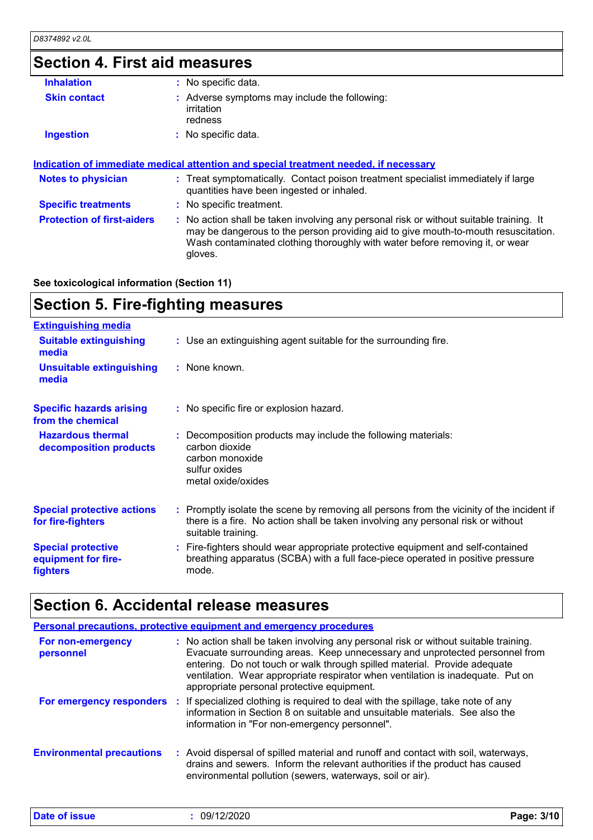# **Section 4. First aid measures**

| <b>Inhalation</b>                 | : No specific data.                                                                                                                                                                                                                                                      |
|-----------------------------------|--------------------------------------------------------------------------------------------------------------------------------------------------------------------------------------------------------------------------------------------------------------------------|
| <b>Skin contact</b>               | : Adverse symptoms may include the following:<br>irritation<br>redness                                                                                                                                                                                                   |
| <b>Ingestion</b>                  | $:$ No specific data.                                                                                                                                                                                                                                                    |
| <b>Notes to physician</b>         | <u>Indication of immediate medical attention and special treatment needed, if necessary</u><br>: Treat symptomatically. Contact poison treatment specialist immediately if large<br>quantities have been ingested or inhaled.                                            |
|                                   |                                                                                                                                                                                                                                                                          |
| <b>Specific treatments</b>        | : No specific treatment.                                                                                                                                                                                                                                                 |
| <b>Protection of first-aiders</b> | : No action shall be taken involving any personal risk or without suitable training. It<br>may be dangerous to the person providing aid to give mouth-to-mouth resuscitation.<br>Wash contaminated clothing thoroughly with water before removing it, or wear<br>gloves. |
|                                   |                                                                                                                                                                                                                                                                          |

**See toxicological information (Section 11)**

# **Section 5. Fire-fighting measures**

| <b>Extinguishing media</b>                                          |                                                                                                                                                                                                     |
|---------------------------------------------------------------------|-----------------------------------------------------------------------------------------------------------------------------------------------------------------------------------------------------|
| <b>Suitable extinguishing</b><br>media                              | : Use an extinguishing agent suitable for the surrounding fire.                                                                                                                                     |
| <b>Unsuitable extinguishing</b><br>media                            | : None known.                                                                                                                                                                                       |
| <b>Specific hazards arising</b><br>from the chemical                | : No specific fire or explosion hazard.                                                                                                                                                             |
| <b>Hazardous thermal</b><br>decomposition products                  | : Decomposition products may include the following materials:<br>carbon dioxide<br>carbon monoxide<br>sulfur oxides<br>metal oxide/oxides                                                           |
| <b>Special protective actions</b><br>for fire-fighters              | : Promptly isolate the scene by removing all persons from the vicinity of the incident if<br>there is a fire. No action shall be taken involving any personal risk or without<br>suitable training. |
| <b>Special protective</b><br>equipment for fire-<br><b>fighters</b> | : Fire-fighters should wear appropriate protective equipment and self-contained<br>breathing apparatus (SCBA) with a full face-piece operated in positive pressure<br>mode.                         |
|                                                                     |                                                                                                                                                                                                     |

### **Section 6. Accidental release measures**

| <b>Personal precautions, protective equipment and emergency procedures</b> |  |                                                                                                                                                                                                                                                                                                                                                                                   |
|----------------------------------------------------------------------------|--|-----------------------------------------------------------------------------------------------------------------------------------------------------------------------------------------------------------------------------------------------------------------------------------------------------------------------------------------------------------------------------------|
| For non-emergency<br>personnel                                             |  | : No action shall be taken involving any personal risk or without suitable training.<br>Evacuate surrounding areas. Keep unnecessary and unprotected personnel from<br>entering. Do not touch or walk through spilled material. Provide adequate<br>ventilation. Wear appropriate respirator when ventilation is inadequate. Put on<br>appropriate personal protective equipment. |
|                                                                            |  | For emergency responders : If specialized clothing is required to deal with the spillage, take note of any<br>information in Section 8 on suitable and unsuitable materials. See also the<br>information in "For non-emergency personnel".                                                                                                                                        |
| <b>Environmental precautions</b>                                           |  | : Avoid dispersal of spilled material and runoff and contact with soil, waterways,<br>drains and sewers. Inform the relevant authorities if the product has caused<br>environmental pollution (sewers, waterways, soil or air).                                                                                                                                                   |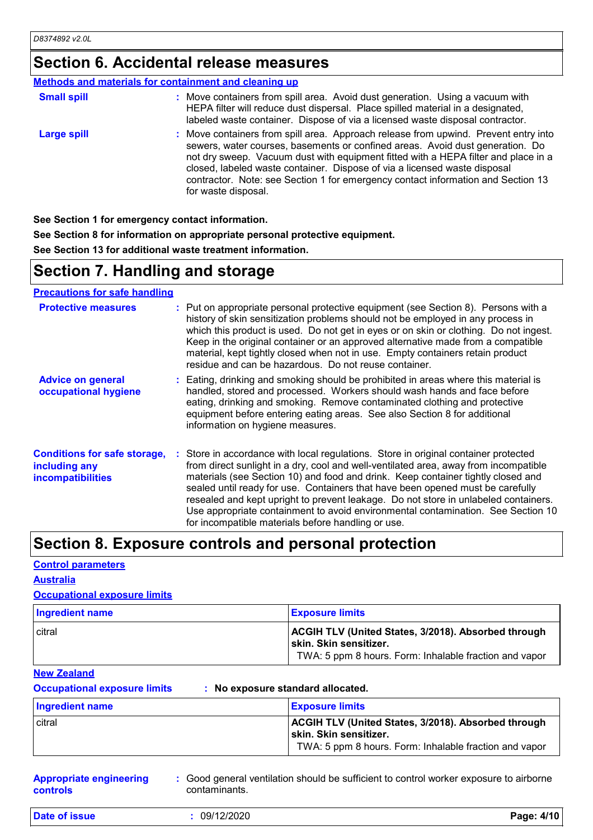### **Section 6. Accidental release measures**

|                    | Methods and materials for containment and cleaning up                                                                                                                                                                                                                                                                                                                                                                                              |
|--------------------|----------------------------------------------------------------------------------------------------------------------------------------------------------------------------------------------------------------------------------------------------------------------------------------------------------------------------------------------------------------------------------------------------------------------------------------------------|
| <b>Small spill</b> | : Move containers from spill area. Avoid dust generation. Using a vacuum with<br>HEPA filter will reduce dust dispersal. Place spilled material in a designated,<br>labeled waste container. Dispose of via a licensed waste disposal contractor.                                                                                                                                                                                                  |
| <b>Large spill</b> | : Move containers from spill area. Approach release from upwind. Prevent entry into<br>sewers, water courses, basements or confined areas. Avoid dust generation. Do<br>not dry sweep. Vacuum dust with equipment fitted with a HEPA filter and place in a<br>closed, labeled waste container. Dispose of via a licensed waste disposal<br>contractor. Note: see Section 1 for emergency contact information and Section 13<br>for waste disposal. |

**See Section 1 for emergency contact information.**

**See Section 8 for information on appropriate personal protective equipment.**

**See Section 13 for additional waste treatment information.**

### **Section 7. Handling and storage**

**Precautions for safe handling**

| <b>Protective measures</b>                                                       | : Put on appropriate personal protective equipment (see Section 8). Persons with a<br>history of skin sensitization problems should not be employed in any process in<br>which this product is used. Do not get in eyes or on skin or clothing. Do not ingest.<br>Keep in the original container or an approved alternative made from a compatible<br>material, kept tightly closed when not in use. Empty containers retain product<br>residue and can be hazardous. Do not reuse container.                                                                                      |
|----------------------------------------------------------------------------------|------------------------------------------------------------------------------------------------------------------------------------------------------------------------------------------------------------------------------------------------------------------------------------------------------------------------------------------------------------------------------------------------------------------------------------------------------------------------------------------------------------------------------------------------------------------------------------|
| <b>Advice on general</b><br>occupational hygiene                                 | : Eating, drinking and smoking should be prohibited in areas where this material is<br>handled, stored and processed. Workers should wash hands and face before<br>eating, drinking and smoking. Remove contaminated clothing and protective<br>equipment before entering eating areas. See also Section 8 for additional<br>information on hygiene measures.                                                                                                                                                                                                                      |
| <b>Conditions for safe storage,</b><br>including any<br><b>incompatibilities</b> | : Store in accordance with local regulations. Store in original container protected<br>from direct sunlight in a dry, cool and well-ventilated area, away from incompatible<br>materials (see Section 10) and food and drink. Keep container tightly closed and<br>sealed until ready for use. Containers that have been opened must be carefully<br>resealed and kept upright to prevent leakage. Do not store in unlabeled containers.<br>Use appropriate containment to avoid environmental contamination. See Section 10<br>for incompatible materials before handling or use. |

### **Section 8. Exposure controls and personal protection**

#### **Control parameters**

#### **Australia**

#### **Occupational exposure limits**

| <b>Ingredient name</b> | <b>Exposure limits</b>                                                                                                                         |
|------------------------|------------------------------------------------------------------------------------------------------------------------------------------------|
| <b>citral</b>          | <b>ACGIH TLV (United States, 3/2018). Absorbed through</b><br>skin. Skin sensitizer.<br>TWA: 5 ppm 8 hours. Form: Inhalable fraction and vapor |

#### **New Zealand**

**Occupational exposure limits : No exposure standard allocated.**

| <b>Ingredient name</b> | <b>Exposure limits</b>                                                                                                                   |
|------------------------|------------------------------------------------------------------------------------------------------------------------------------------|
| citral                 | ACGIH TLV (United States, 3/2018). Absorbed through<br>⊺skin. Skin sensitizer.<br>TWA: 5 ppm 8 hours. Form: Inhalable fraction and vapor |

| <b>Appropriate engineering</b> | : Good general ventilation should be sufficient to control worker exposure to airborne |
|--------------------------------|----------------------------------------------------------------------------------------|
| <b>controls</b>                | contaminants.                                                                          |

**Date of issue :** 09/12/2020 **Page: 4/10**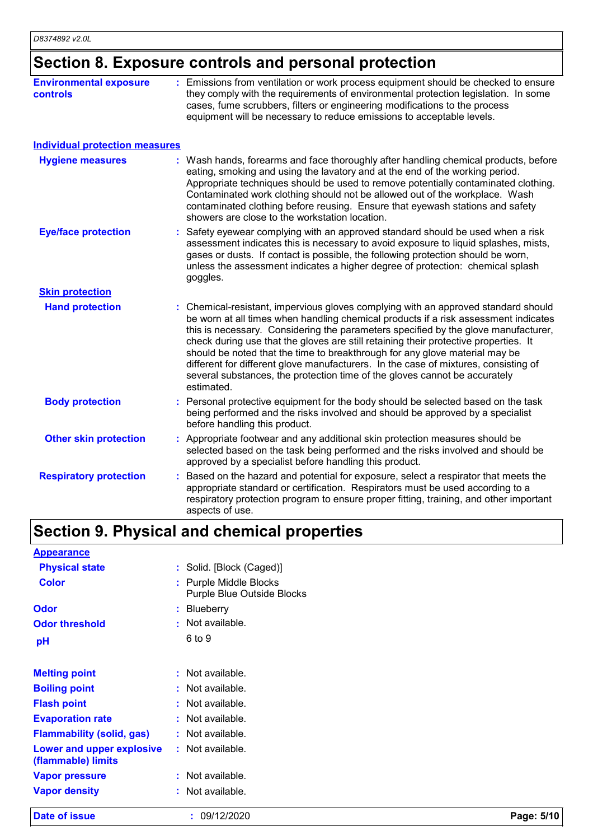### **Section 8. Exposure controls and personal protection**

| <b>Environmental exposure</b><br><b>controls</b> | : Emissions from ventilation or work process equipment should be checked to ensure<br>they comply with the requirements of environmental protection legislation. In some<br>cases, fume scrubbers, filters or engineering modifications to the process<br>equipment will be necessary to reduce emissions to acceptable levels.                                                                                                                                                                                                                                                                                           |
|--------------------------------------------------|---------------------------------------------------------------------------------------------------------------------------------------------------------------------------------------------------------------------------------------------------------------------------------------------------------------------------------------------------------------------------------------------------------------------------------------------------------------------------------------------------------------------------------------------------------------------------------------------------------------------------|
| <b>Individual protection measures</b>            |                                                                                                                                                                                                                                                                                                                                                                                                                                                                                                                                                                                                                           |
| <b>Hygiene measures</b>                          | : Wash hands, forearms and face thoroughly after handling chemical products, before<br>eating, smoking and using the lavatory and at the end of the working period.<br>Appropriate techniques should be used to remove potentially contaminated clothing.<br>Contaminated work clothing should not be allowed out of the workplace. Wash<br>contaminated clothing before reusing. Ensure that eyewash stations and safety<br>showers are close to the workstation location.                                                                                                                                               |
| <b>Eye/face protection</b>                       | Safety eyewear complying with an approved standard should be used when a risk<br>assessment indicates this is necessary to avoid exposure to liquid splashes, mists,<br>gases or dusts. If contact is possible, the following protection should be worn,<br>unless the assessment indicates a higher degree of protection: chemical splash<br>goggles.                                                                                                                                                                                                                                                                    |
| <b>Skin protection</b>                           |                                                                                                                                                                                                                                                                                                                                                                                                                                                                                                                                                                                                                           |
| <b>Hand protection</b>                           | : Chemical-resistant, impervious gloves complying with an approved standard should<br>be worn at all times when handling chemical products if a risk assessment indicates<br>this is necessary. Considering the parameters specified by the glove manufacturer,<br>check during use that the gloves are still retaining their protective properties. It<br>should be noted that the time to breakthrough for any glove material may be<br>different for different glove manufacturers. In the case of mixtures, consisting of<br>several substances, the protection time of the gloves cannot be accurately<br>estimated. |
| <b>Body protection</b>                           | Personal protective equipment for the body should be selected based on the task<br>being performed and the risks involved and should be approved by a specialist<br>before handling this product.                                                                                                                                                                                                                                                                                                                                                                                                                         |
| <b>Other skin protection</b>                     | : Appropriate footwear and any additional skin protection measures should be<br>selected based on the task being performed and the risks involved and should be<br>approved by a specialist before handling this product.                                                                                                                                                                                                                                                                                                                                                                                                 |
| <b>Respiratory protection</b>                    | Based on the hazard and potential for exposure, select a respirator that meets the<br>appropriate standard or certification. Respirators must be used according to a<br>respiratory protection program to ensure proper fitting, training, and other important<br>aspects of use.                                                                                                                                                                                                                                                                                                                                         |

# **Section 9. Physical and chemical properties**

| <b>Appearance</b>                |                                                             |
|----------------------------------|-------------------------------------------------------------|
| <b>Physical state</b>            | : Solid. [Block (Caged)]                                    |
| <b>Color</b>                     | : Purple Middle Blocks<br><b>Purple Blue Outside Blocks</b> |
| Odor                             | : Blueberry                                                 |
| <b>Odor threshold</b>            | : Not available.                                            |
| рH                               | 6 to 9                                                      |
|                                  |                                                             |
| <b>Melting point</b>             | : Not available.                                            |
| <b>Boiling point</b>             | : Not available.                                            |
| <b>Flash point</b>               | : Not available.                                            |
| <b>Evaporation rate</b>          | : Not available.                                            |
| <b>Flammability (solid, gas)</b> | : Not available.                                            |
| <b>Lower and upper explosive</b> | : Not available.                                            |
| (flammable) limits               |                                                             |
| <b>Vapor pressure</b>            | : Not available.                                            |
| <b>Vapor density</b>             | : Not available.                                            |
|                                  |                                                             |

**Date of issue :** 09/12/2020 **Page: 5/10**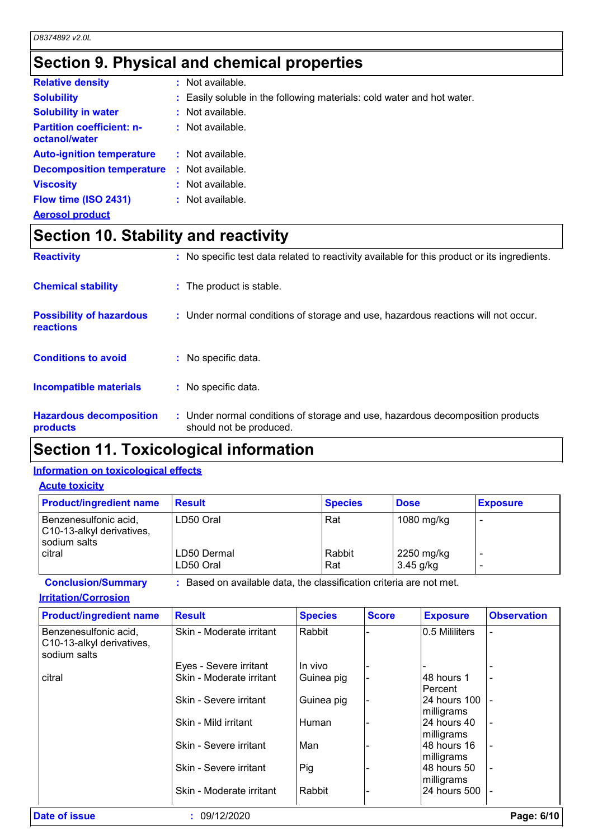### **Section 9. Physical and chemical properties**

| <b>Relative density</b>                           |    | : Not available.                                                       |
|---------------------------------------------------|----|------------------------------------------------------------------------|
| <b>Solubility</b>                                 |    | : Easily soluble in the following materials: cold water and hot water. |
| <b>Solubility in water</b>                        |    | : Not available.                                                       |
| <b>Partition coefficient: n-</b><br>octanol/water |    | $:$ Not available.                                                     |
| <b>Auto-ignition temperature</b>                  |    | : Not available.                                                       |
| <b>Decomposition temperature</b>                  | ÷. | Not available.                                                         |
| <b>Viscosity</b>                                  |    | : Not available.                                                       |
| Flow time (ISO 2431)                              |    | : Not available.                                                       |
| <b>Aerosol product</b>                            |    |                                                                        |

# **Section 10. Stability and reactivity**

| <b>Reactivity</b>                            | No specific test data related to reactivity available for this product or its ingredients.<br>÷.          |
|----------------------------------------------|-----------------------------------------------------------------------------------------------------------|
| <b>Chemical stability</b>                    | : The product is stable.                                                                                  |
| <b>Possibility of hazardous</b><br>reactions | : Under normal conditions of storage and use, hazardous reactions will not occur.                         |
| <b>Conditions to avoid</b>                   | : No specific data.                                                                                       |
| <b>Incompatible materials</b>                | : No specific data.                                                                                       |
| <b>Hazardous decomposition</b><br>products   | : Under normal conditions of storage and use, hazardous decomposition products<br>should not be produced. |

### **Section 11. Toxicological information**

### **Information on toxicological effects**

### **Acute toxicity**

| <b>Product/ingredient name</b>                                       | <b>Result</b>            | <b>Species</b> | <b>Dose</b>               | <b>Exposure</b> |
|----------------------------------------------------------------------|--------------------------|----------------|---------------------------|-----------------|
| Benzenesulfonic acid,<br>C10-13-alkyl derivatives,<br>I sodium salts | LD50 Oral                | Rat            | 1080 mg/kg                |                 |
| citral                                                               | LD50 Dermal<br>LD50 Oral | Rabbit<br>Rat  | 2250 mg/kg<br>$3.45$ g/kg |                 |

**Conclusion/Summary :** Based on available data, the classification criteria are not met.

#### **Irritation/Corrosion**

| <b>Product/ingredient name</b>                                     | <b>Result</b>            | <b>Species</b> | <b>Score</b> | <b>Exposure</b>            | <b>Observation</b> |
|--------------------------------------------------------------------|--------------------------|----------------|--------------|----------------------------|--------------------|
| Benzenesulfonic acid,<br>C10-13-alkyl derivatives,<br>sodium salts | Skin - Moderate irritant | Rabbit         |              | 0.5 Mililiters             |                    |
|                                                                    | Eyes - Severe irritant   | In vivo        |              |                            |                    |
| citral                                                             | Skin - Moderate irritant | Guinea pig     |              | l48 hours 1<br>Percent     |                    |
|                                                                    | Skin - Severe irritant   | Guinea pig     |              | 24 hours 100<br>milligrams |                    |
|                                                                    | Skin - Mild irritant     | Human          |              | 24 hours 40<br>milligrams  |                    |
|                                                                    | Skin - Severe irritant   | Man            |              | l48 hours 16<br>milligrams |                    |
|                                                                    | Skin - Severe irritant   | Pig            |              | 48 hours 50<br>milligrams  |                    |
|                                                                    | Skin - Moderate irritant | Rabbit         |              | 24 hours 500               |                    |
| Date of issue                                                      | : 09/12/2020             |                |              |                            | Page: 6/10         |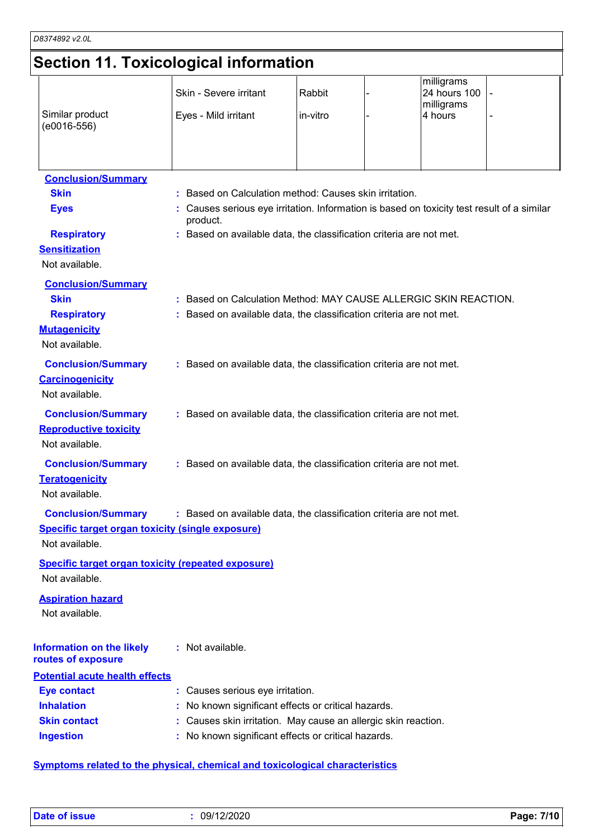### **Section 11. Toxicological information**

|                                                                             | Secuon II. Toxicological information                                                                 |                    |                                                     |  |
|-----------------------------------------------------------------------------|------------------------------------------------------------------------------------------------------|--------------------|-----------------------------------------------------|--|
| Similar product                                                             | Skin - Severe irritant<br>Eyes - Mild irritant                                                       | Rabbit<br>in-vitro | milligrams<br>24 hours 100<br>milligrams<br>4 hours |  |
| $(e0016-556)$                                                               |                                                                                                      |                    |                                                     |  |
| <b>Conclusion/Summary</b>                                                   |                                                                                                      |                    |                                                     |  |
| <b>Skin</b>                                                                 | : Based on Calculation method: Causes skin irritation.                                               |                    |                                                     |  |
| <b>Eyes</b>                                                                 | Causes serious eye irritation. Information is based on toxicity test result of a similar<br>product. |                    |                                                     |  |
| <b>Respiratory</b><br><b>Sensitization</b><br>Not available.                | : Based on available data, the classification criteria are not met.                                  |                    |                                                     |  |
| <b>Conclusion/Summary</b>                                                   |                                                                                                      |                    |                                                     |  |
| <b>Skin</b>                                                                 | : Based on Calculation Method: MAY CAUSE ALLERGIC SKIN REACTION.                                     |                    |                                                     |  |
| <b>Respiratory</b>                                                          | : Based on available data, the classification criteria are not met.                                  |                    |                                                     |  |
| <b>Mutagenicity</b>                                                         |                                                                                                      |                    |                                                     |  |
| Not available.                                                              |                                                                                                      |                    |                                                     |  |
| <b>Conclusion/Summary</b>                                                   | : Based on available data, the classification criteria are not met.                                  |                    |                                                     |  |
| <b>Carcinogenicity</b>                                                      |                                                                                                      |                    |                                                     |  |
| Not available.                                                              |                                                                                                      |                    |                                                     |  |
| <b>Conclusion/Summary</b>                                                   | : Based on available data, the classification criteria are not met.                                  |                    |                                                     |  |
| <b>Reproductive toxicity</b>                                                |                                                                                                      |                    |                                                     |  |
| Not available.                                                              |                                                                                                      |                    |                                                     |  |
| <b>Conclusion/Summary</b>                                                   | : Based on available data, the classification criteria are not met.                                  |                    |                                                     |  |
| <b>Teratogenicity</b>                                                       |                                                                                                      |                    |                                                     |  |
| Not available.                                                              |                                                                                                      |                    |                                                     |  |
| <b>Conclusion/Summary</b>                                                   | : Based on available data, the classification criteria are not met.                                  |                    |                                                     |  |
| <b>Specific target organ toxicity (single exposure)</b>                     |                                                                                                      |                    |                                                     |  |
| Not available.                                                              |                                                                                                      |                    |                                                     |  |
| <b>Specific target organ toxicity (repeated exposure)</b><br>Not available. |                                                                                                      |                    |                                                     |  |
| <b>Aspiration hazard</b><br>Not available.                                  |                                                                                                      |                    |                                                     |  |
| <b>Information on the likely</b><br>routes of exposure                      | : Not available.                                                                                     |                    |                                                     |  |
| <b>Potential acute health effects</b>                                       |                                                                                                      |                    |                                                     |  |
| <b>Eye contact</b>                                                          | : Causes serious eye irritation.                                                                     |                    |                                                     |  |
| <b>Inhalation</b>                                                           | No known significant effects or critical hazards.                                                    |                    |                                                     |  |
| <b>Skin contact</b>                                                         | Causes skin irritation. May cause an allergic skin reaction.                                         |                    |                                                     |  |
|                                                                             |                                                                                                      |                    |                                                     |  |

**Symptoms related to the physical, chemical and toxicological characteristics**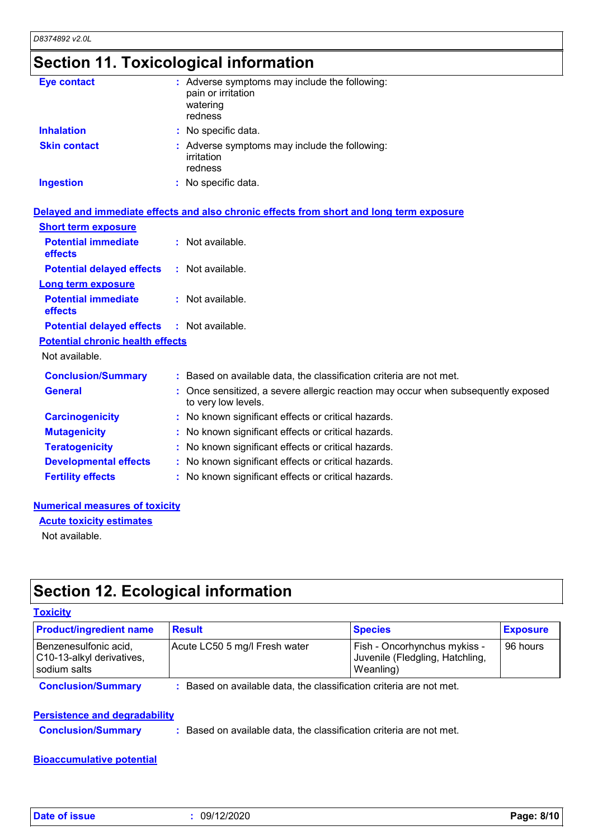### **Section 11. Toxicological information**

| <b>Eye contact</b>  | : Adverse symptoms may include the following:<br>pain or irritation<br>watering<br>redness |
|---------------------|--------------------------------------------------------------------------------------------|
| <b>Inhalation</b>   | : No specific data.                                                                        |
| <b>Skin contact</b> | : Adverse symptoms may include the following:<br>irritation<br>redness                     |
| <b>Ingestion</b>    | : No specific data.                                                                        |

|                                                   | Delayed and immediate effects and also chronic effects from short and long term exposure                 |
|---------------------------------------------------|----------------------------------------------------------------------------------------------------------|
| <b>Short term exposure</b>                        |                                                                                                          |
| <b>Potential immediate</b><br><b>effects</b>      | $:$ Not available.                                                                                       |
| <b>Potential delayed effects</b>                  | $:$ Not available.                                                                                       |
| <b>Long term exposure</b>                         |                                                                                                          |
| <b>Potential immediate</b><br>effects             | : Not available.                                                                                         |
| <b>Potential delayed effects : Not available.</b> |                                                                                                          |
| <b>Potential chronic health effects</b>           |                                                                                                          |
| Not available.                                    |                                                                                                          |
| <b>Conclusion/Summary</b>                         | : Based on available data, the classification criteria are not met.                                      |
| <b>General</b>                                    | : Once sensitized, a severe allergic reaction may occur when subsequently exposed<br>to very low levels. |
| <b>Carcinogenicity</b>                            | : No known significant effects or critical hazards.                                                      |
| <b>Mutagenicity</b>                               | : No known significant effects or critical hazards.                                                      |
| <b>Teratogenicity</b>                             | : No known significant effects or critical hazards.                                                      |
| <b>Developmental effects</b>                      | : No known significant effects or critical hazards.                                                      |
| <b>Fertility effects</b>                          | : No known significant effects or critical hazards.                                                      |

#### **Numerical measures of toxicity**

**Acute toxicity estimates**

Not available.

### **Section 12. Ecological information**

#### **Toxicity**

| <b>Product/ingredient name</b>                                     | <b>Result</b>                 | <b>Species</b>                                                               | <b>Exposure</b> |
|--------------------------------------------------------------------|-------------------------------|------------------------------------------------------------------------------|-----------------|
| Benzenesulfonic acid,<br>C10-13-alkyl derivatives,<br>sodium salts | Acute LC50 5 mg/l Fresh water | Fish - Oncorhynchus mykiss -<br>Juvenile (Fledgling, Hatchling,<br>Weanling) | 96 hours        |

**Conclusion/Summary :** Based on available data, the classification criteria are not met.

#### **Persistence and degradability**

**Conclusion/Summary :** Based on available data, the classification criteria are not met.

#### **Bioaccumulative potential**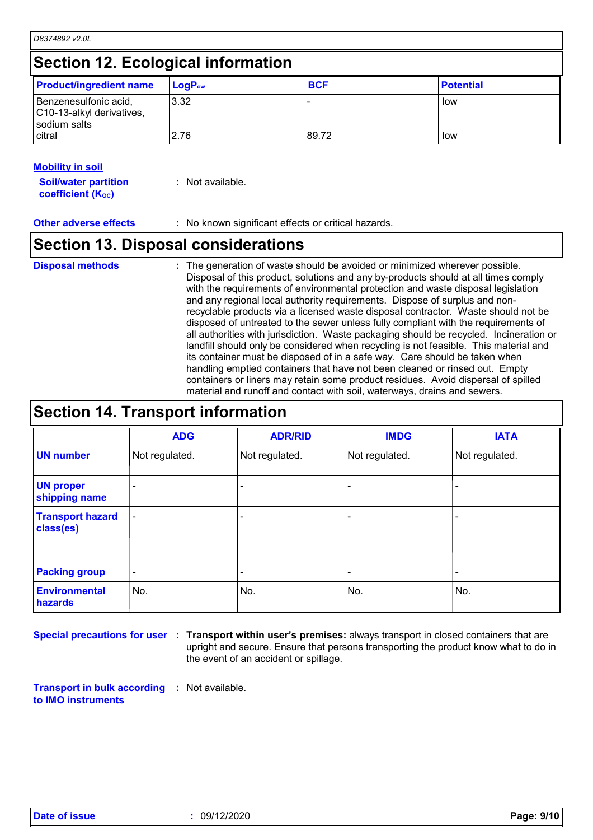### **Section 12. Ecological information**

| <b>Product/ingredient name</b>                                     | $LogP_{ow}$ | <b>BCF</b> | <b>Potential</b> |
|--------------------------------------------------------------------|-------------|------------|------------------|
| Benzenesulfonic acid,<br>C10-13-alkyl derivatives,<br>sodium salts | 3.32        |            | low              |
| citral                                                             | 2.76        | 89.72      | low              |

#### **Mobility in soil**

| <b>Soil/water partition</b> | : Not available. |
|-----------------------------|------------------|
| <b>coefficient (Koc)</b>    |                  |

**Other adverse effects** : No known significant effects or critical hazards.

### **Section 13. Disposal considerations**

The generation of waste should be avoided or minimized wherever possible. Disposal of this product, solutions and any by-products should at all times comply with the requirements of environmental protection and waste disposal legislation and any regional local authority requirements. Dispose of surplus and nonrecyclable products via a licensed waste disposal contractor. Waste should not be disposed of untreated to the sewer unless fully compliant with the requirements of all authorities with jurisdiction. Waste packaging should be recycled. Incineration or landfill should only be considered when recycling is not feasible. This material and its container must be disposed of in a safe way. Care should be taken when handling emptied containers that have not been cleaned or rinsed out. Empty containers or liners may retain some product residues. Avoid dispersal of spilled material and runoff and contact with soil, waterways, drains and sewers. **Disposal methods :**

### **Section 14. Transport information**

|                                      | <b>ADG</b>                   | <b>ADR/RID</b> | <b>IMDG</b>    | <b>IATA</b>    |
|--------------------------------------|------------------------------|----------------|----------------|----------------|
| <b>UN number</b>                     | Not regulated.               | Not regulated. | Not regulated. | Not regulated. |
| <b>UN proper</b><br>shipping name    |                              |                |                |                |
| <b>Transport hazard</b><br>class(es) | $\qquad \qquad \blacksquare$ |                |                |                |
| <b>Packing group</b>                 | $\overline{\phantom{a}}$     |                |                |                |
| <b>Environmental</b><br>hazards      | No.                          | No.            | No.            | No.            |

**Special precautions for user** : Transport within user's premises: always transport in closed containers that are upright and secure. Ensure that persons transporting the product know what to do in the event of an accident or spillage.

**Transport in bulk according :** Not available. **to IMO instruments**